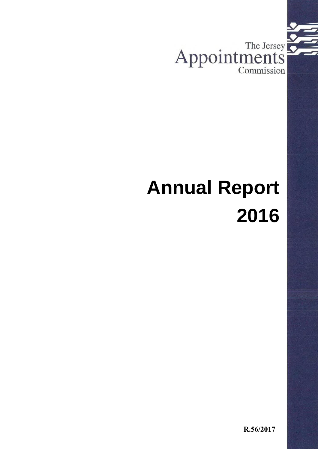

# **Annual Report 2016**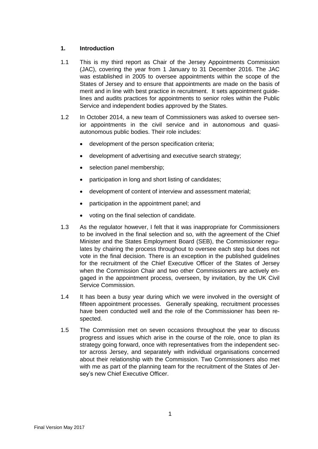## **1. Introduction**

- 1.1 This is my third report as Chair of the Jersey Appointments Commission (JAC), covering the year from 1 January to 31 December 2016. The JAC was established in 2005 to oversee appointments within the scope of the States of Jersey and to ensure that appointments are made on the basis of merit and in line with best practice in recruitment. It sets appointment guidelines and audits practices for appointments to senior roles within the Public Service and independent bodies approved by the States.
- 1.2 In October 2014, a new team of Commissioners was asked to oversee senior appointments in the civil service and in autonomous and quasiautonomous public bodies. Their role includes:
	- development of the person specification criteria;
	- development of advertising and executive search strategy;
	- selection panel membership;
	- participation in long and short listing of candidates;
	- development of content of interview and assessment material;
	- participation in the appointment panel; and
	- voting on the final selection of candidate.
- 1.3 As the regulator however, I felt that it was inappropriate for Commissioners to be involved in the final selection and so, with the agreement of the Chief Minister and the States Employment Board (SEB), the Commissioner regulates by chairing the process throughout to oversee each step but does not vote in the final decision. There is an exception in the published guidelines for the recruitment of the Chief Executive Officer of the States of Jersey when the Commission Chair and two other Commissioners are actively engaged in the appointment process, overseen, by invitation, by the UK Civil Service Commission.
- 1.4 It has been a busy year during which we were involved in the oversight of fifteen appointment processes. Generally speaking, recruitment processes have been conducted well and the role of the Commissioner has been respected.
- 1.5 The Commission met on seven occasions throughout the year to discuss progress and issues which arise in the course of the role, once to plan its strategy going forward, once with representatives from the independent sector across Jersey, and separately with individual organisations concerned about their relationship with the Commission. Two Commissioners also met with me as part of the planning team for the recruitment of the States of Jersey's new Chief Executive Officer.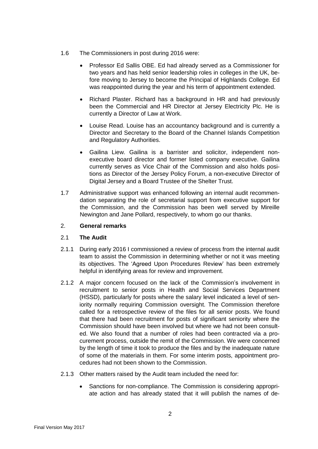- 1.6 The Commissioners in post during 2016 were:
	- Professor Ed Sallis OBE. Ed had already served as a Commissioner for two years and has held senior leadership roles in colleges in the UK, before moving to Jersey to become the Principal of Highlands College. Ed was reappointed during the year and his term of appointment extended.
	- Richard Plaster. Richard has a background in HR and had previously been the Commercial and HR Director at Jersey Electricity Plc. He is currently a Director of Law at Work.
	- Louise Read. Louise has an accountancy background and is currently a Director and Secretary to the Board of the Channel Islands Competition and Regulatory Authorities.
	- Gailina Liew. Gailina is a barrister and solicitor, independent nonexecutive board director and former listed company executive. Gailina currently serves as Vice Chair of the Commission and also holds positions as Director of the Jersey Policy Forum, a non-executive Director of Digital Jersey and a Board Trustee of the Shelter Trust.
- 1.7 Administrative support was enhanced following an internal audit recommendation separating the role of secretarial support from executive support for the Commission, and the Commission has been well served by Mireille Newington and Jane Pollard, respectively, to whom go our thanks.

### 2. **General remarks**

## 2.1 **The Audit**

- 2.1.1 During early 2016 I commissioned a review of process from the internal audit team to assist the Commission in determining whether or not it was meeting its objectives. The 'Agreed Upon Procedures Review' has been extremely helpful in identifying areas for review and improvement.
- 2.1.2 A major concern focused on the lack of the Commission's involvement in recruitment to senior posts in Health and Social Services Department (HSSD), particularly for posts where the salary level indicated a level of seniority normally requiring Commission oversight. The Commission therefore called for a retrospective review of the files for all senior posts. We found that there had been recruitment for posts of significant seniority where the Commission should have been involved but where we had not been consulted. We also found that a number of roles had been contracted via a procurement process, outside the remit of the Commission. We were concerned by the length of time it took to produce the files and by the inadequate nature of some of the materials in them. For some interim posts, appointment procedures had not been shown to the Commission.
- 2.1.3 Other matters raised by the Audit team included the need for:
	- Sanctions for non-compliance. The Commission is considering appropriate action and has already stated that it will publish the names of de-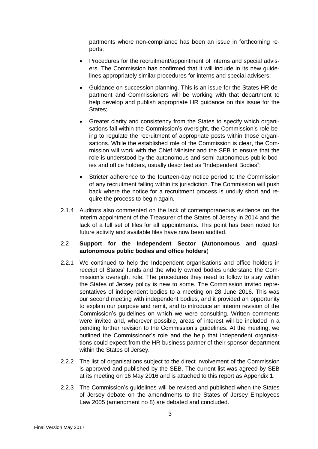partments where non-compliance has been an issue in forthcoming reports;

- Procedures for the recruitment/appointment of interns and special advisers. The Commission has confirmed that it will include in its new guidelines appropriately similar procedures for interns and special advisers;
- Guidance on succession planning. This is an issue for the States HR department and Commissioners will be working with that department to help develop and publish appropriate HR guidance on this issue for the States;
- Greater clarity and consistency from the States to specify which organisations fall within the Commission's oversight, the Commission's role being to regulate the recruitment of appropriate posts within those organisations. While the established role of the Commission is clear, the Commission will work with the Chief Minister and the SEB to ensure that the role is understood by the autonomous and semi autonomous public bodies and office holders, usually described as "Independent Bodies";
- Stricter adherence to the fourteen-day notice period to the Commission of any recruitment falling within its jurisdiction. The Commission will push back where the notice for a recruitment process is unduly short and require the process to begin again.
- 2.1.4 Auditors also commented on the lack of contemporaneous evidence on the interim appointment of the Treasurer of the States of Jersey in 2014 and the lack of a full set of files for all appointments. This point has been noted for future activity and available files have now been audited.

#### 2.2 **Support for the Independent Sector (Autonomous and quasiautonomous public bodies and office holders**)

- 2.2.1 We continued to help the Independent organisations and office holders in receipt of States' funds and the wholly owned bodies understand the Commission's oversight role. The procedures they need to follow to stay within the States of Jersey policy is new to some. The Commission invited representatives of independent bodies to a meeting on 28 June 2016. This was our second meeting with independent bodies, and it provided an opportunity to explain our purpose and remit, and to introduce an interim revision of the Commission's guidelines on which we were consulting. Written comments were invited and, wherever possible, areas of interest will be included in a pending further revision to the Commission's guidelines. At the meeting, we outlined the Commissioner's role and the help that independent organisations could expect from the HR business partner of their sponsor department within the States of Jersey.
- 2.2.2 The list of organisations subject to the direct involvement of the Commission is approved and published by the SEB. The current list was agreed by SEB at its meeting on 16 May 2016 and is attached to this report as Appendix 1.
- 2.2.3 The Commission's guidelines will be revised and published when the States of Jersey debate on the amendments to the States of Jersey Employees Law 2005 (amendment no 8) are debated and concluded.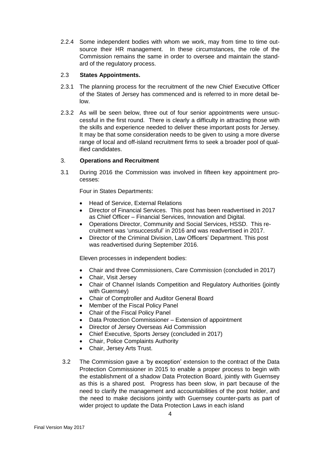2.2.4 Some independent bodies with whom we work, may from time to time outsource their HR management. In these circumstances, the role of the Commission remains the same in order to oversee and maintain the standard of the regulatory process.

#### 2.3 **States Appointments.**

- 2.3.1 The planning process for the recruitment of the new Chief Executive Officer of the States of Jersey has commenced and is referred to in more detail below.
- 2.3.2 As will be seen below, three out of four senior appointments were unsuccessful in the first round. There is clearly a difficulty in attracting those with the skills and experience needed to deliver these important posts for Jersey. It may be that some consideration needs to be given to using a more diverse range of local and off-island recruitment firms to seek a broader pool of qualified candidates.

## 3. **Operations and Recruitment**

3.1 During 2016 the Commission was involved in fifteen key appointment processes:

Four in States Departments:

- Head of Service, External Relations
- Director of Financial Services. This post has been readvertised in 2017 as Chief Officer – Financial Services, Innovation and Digital.
- Operations Director, Community and Social Services, HSSD. This recruitment was 'unsuccessful' in 2016 and was readvertised in 2017.
- Director of the Criminal Division, Law Officers' Department. This post was readvertised during September 2016.

Eleven processes in independent bodies:

- Chair and three Commissioners, Care Commission (concluded in 2017)
- Chair, Visit Jersey
- Chair of Channel Islands Competition and Regulatory Authorities (jointly with Guernsey)
- Chair of Comptroller and Auditor General Board
- Member of the Fiscal Policy Panel
- Chair of the Fiscal Policy Panel
- Data Protection Commissioner Extension of appointment
- Director of Jersey Overseas Aid Commission
- Chief Executive, Sports Jersey (concluded in 2017)
- Chair, Police Complaints Authority
- Chair, Jersey Arts Trust.
- 3.2 The Commission gave a 'by exception' extension to the contract of the Data Protection Commissioner in 2015 to enable a proper process to begin with the establishment of a shadow Data Protection Board, jointly with Guernsey as this is a shared post. Progress has been slow, in part because of the need to clarify the management and accountabilities of the post holder, and the need to make decisions jointly with Guernsey counter-parts as part of wider project to update the Data Protection Laws in each island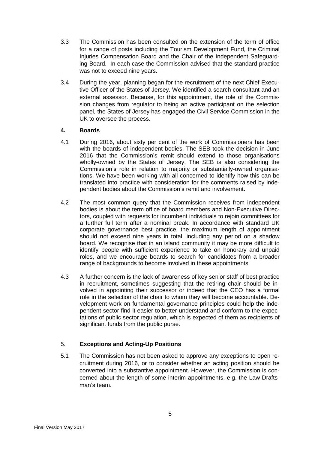- 3.3 The Commission has been consulted on the extension of the term of office for a range of posts including the Tourism Development Fund, the Criminal Injuries Compensation Board and the Chair of the Independent Safeguarding Board. In each case the Commission advised that the standard practice was not to exceed nine years.
- 3.4 During the year, planning began for the recruitment of the next Chief Executive Officer of the States of Jersey. We identified a search consultant and an external assessor. Because, for this appointment, the role of the Commission changes from regulator to being an active participant on the selection panel, the States of Jersey has engaged the Civil Service Commission in the UK to oversee the process.

## **4. Boards**

- 4.1 During 2016, about sixty per cent of the work of Commissioners has been with the boards of independent bodies. The SEB took the decision in June 2016 that the Commission's remit should extend to those organisations wholly-owned by the States of Jersey. The SEB is also considering the Commission's role in relation to majority or substantially-owned organisations. We have been working with all concerned to identify how this can be translated into practice with consideration for the comments raised by independent bodies about the Commission's remit and involvement.
- 4.2 The most common query that the Commission receives from independent bodies is about the term office of board members and Non-Executive Directors, coupled with requests for incumbent individuals to rejoin committees for a further full term after a nominal break. In accordance with standard UK corporate governance best practice, the maximum length of appointment should not exceed nine years in total, including any period on a shadow board. We recognise that in an island community it may be more difficult to identify people with sufficient experience to take on honorary and unpaid roles, and we encourage boards to search for candidates from a broader range of backgrounds to become involved in these appointments.
- 4.3 A further concern is the lack of awareness of key senior staff of best practice in recruitment, sometimes suggesting that the retiring chair should be involved in appointing their successor or indeed that the CEO has a formal role in the selection of the chair to whom they will become accountable. Development work on fundamental governance principles could help the independent sector find it easier to better understand and conform to the expectations of public sector regulation, which is expected of them as recipients of significant funds from the public purse.

## 5. **Exceptions and Acting-Up Positions**

5.1 The Commission has not been asked to approve any exceptions to open recruitment during 2016, or to consider whether an acting position should be converted into a substantive appointment. However, the Commission is concerned about the length of some interim appointments, e.g. the Law Draftsman's team.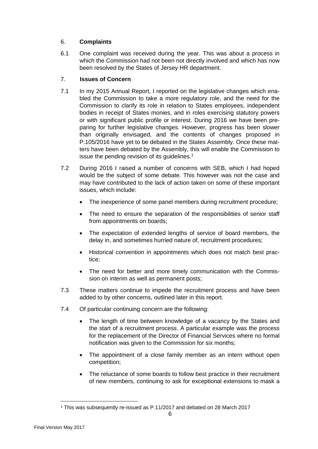# 6. **Complaints**

6.1 One complaint was received during the year. This was about a process in which the Commission had not been not directly involved and which has now been resolved by the States of Jersey HR department.

# 7. **Issues of Concern**

- 7.1 In my 2015 Annual Report, I reported on the legislative changes which enabled the Commission to take a more regulatory role, and the need for the Commission to clarify its role in relation to States employees, independent bodies in receipt of States monies, and in roles exercising statutory powers or with significant public profile or interest. During 2016 we have been preparing for further legislative changes. However, progress has been slower than originally envisaged, and the contents of changes proposed in P.105/2016 have yet to be debated in the States Assembly. Once these matters have been debated by the Assembly, this will enable the Commission to issue the pending revision of its guidelines. 1
- 7.2 During 2016 I raised a number of concerns with SEB, which I had hoped would be the subject of some debate. This however was not the case and may have contributed to the lack of action taken on some of these important issues, which include:
	- The inexperience of some panel members during recruitment procedure;
	- The need to ensure the separation of the responsibilities of senior staff from appointments on boards;
	- The expectation of extended lengths of service of board members, the delay in, and sometimes hurried nature of, recruitment procedures;
	- Historical convention in appointments which does not match best practice;
	- The need for better and more timely communication with the Commission on interim as well as permanent posts;
- 7.3 These matters continue to impede the recruitment process and have been added to by other concerns, outlined later in this report.
- 7.4 Of particular continuing concern are the following:
	- The length of time between knowledge of a vacancy by the States and the start of a recruitment process. A particular example was the process for the replacement of the Director of Financial Services where no formal notification was given to the Commission for six months;
	- The appointment of a close family member as an intern without open competition;
	- The reluctance of some boards to follow best practice in their recruitment of new members, continuing to ask for exceptional extensions to mask a

 $\overline{a}$ 

<sup>1</sup> This was subsequently re-issued as P.11/2017 and debated on 28 March 2017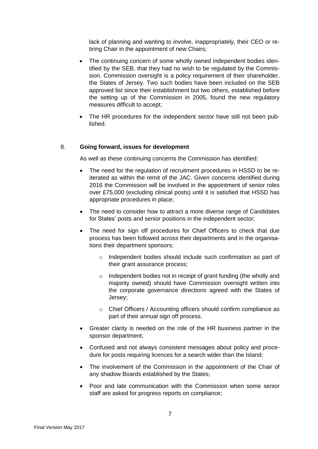lack of planning and wanting to involve, inappropriately, their CEO or retiring Chair in the appointment of new Chairs;

- The continuing concern of some wholly owned independent bodies identified by the SEB, that they had no wish to be regulated by the Commission. Commission oversight is a policy requirement of their shareholder, the States of Jersey. Two such bodies have been included on the SEB approved list since their establishment but two others, established before the setting up of the Commission in 2005, found the new regulatory measures difficult to accept;
- The HR procedures for the independent sector have still not been published.

#### 8. **Going forward, issues for development**

As well as these continuing concerns the Commission has identified:

- The need for the regulation of recruitment procedures in HSSD to be reiterated as within the remit of the JAC. Given concerns identified during 2016 the Commission will be involved in the appointment of senior roles over £75,000 (excluding clinical posts) until it is satisfied that HSSD has appropriate procedures in place;
- The need to consider how to attract a more diverse range of Candidates for States' posts and senior positions in the independent sector;
- The need for sign off procedures for Chief Officers to check that due process has been followed across their departments and in the organisations their department sponsors;
	- o Independent bodies should include such confirmation as part of their grant assurance process;
	- o Independent bodies not in receipt of grant funding (the wholly and majority owned) should have Commission oversight written into the corporate governance directions agreed with the States of Jersey;
	- o Chief Officers / Accounting officers should confirm compliance as part of their annual sign off process.
- Greater clarity is needed on the role of the HR business partner in the sponsor department;
- Confused and not always consistent messages about policy and procedure for posts requiring licences for a search wider than the Island;
- The involvement of the Commission in the appointment of the Chair of any shadow Boards established by the States;
- Poor and late communication with the Commission when some senior staff are asked for progress reports on compliance;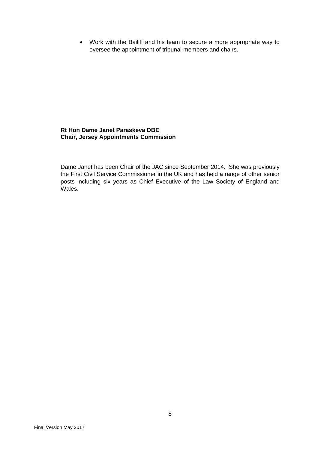Work with the Bailiff and his team to secure a more appropriate way to oversee the appointment of tribunal members and chairs.

#### **Rt Hon Dame Janet Paraskeva DBE Chair, Jersey Appointments Commission**

Dame Janet has been Chair of the JAC since September 2014. She was previously the First Civil Service Commissioner in the UK and has held a range of other senior posts including six years as Chief Executive of the Law Society of England and Wales.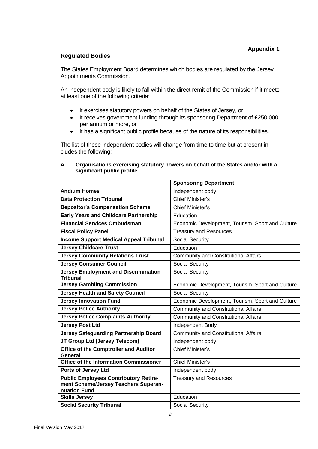#### **Regulated Bodies**

The States Employment Board determines which bodies are regulated by the Jersey Appointments Commission.

An independent body is likely to fall within the direct remit of the Commission if it meets at least one of the following criteria:

- It exercises statutory powers on behalf of the States of Jersey, or
- It receives government funding through its sponsoring Department of £250,000 per annum or more, or
- It has a significant public profile because of the nature of its responsibilities.

The list of these independent bodies will change from time to time but at present includes the following:

#### **A. Organisations exercising statutory powers on behalf of the States and/or with a significant public profile**

|                                                                                                      | <b>Sponsoring Department</b>                     |
|------------------------------------------------------------------------------------------------------|--------------------------------------------------|
| <b>Andium Homes</b>                                                                                  | Independent body                                 |
| <b>Data Protection Tribunal</b>                                                                      | <b>Chief Minister's</b>                          |
| <b>Depositor's Compensation Scheme</b>                                                               | <b>Chief Minister's</b>                          |
| <b>Early Years and Childcare Partnership</b>                                                         | Education                                        |
| <b>Financial Services Ombudsman</b>                                                                  | Economic Development, Tourism, Sport and Culture |
| <b>Fiscal Policy Panel</b>                                                                           | <b>Treasury and Resources</b>                    |
| <b>Income Support Medical Appeal Tribunal</b>                                                        | <b>Social Security</b>                           |
| <b>Jersey Childcare Trust</b>                                                                        | Education                                        |
| <b>Jersey Community Relations Trust</b>                                                              | <b>Community and Constitutional Affairs</b>      |
| <b>Jersey Consumer Council</b>                                                                       | <b>Social Security</b>                           |
| <b>Jersey Employment and Discrimination</b><br><b>Tribunal</b>                                       | <b>Social Security</b>                           |
| <b>Jersey Gambling Commission</b>                                                                    | Economic Development, Tourism, Sport and Culture |
| <b>Jersey Health and Safety Council</b>                                                              | <b>Social Security</b>                           |
| <b>Jersey Innovation Fund</b>                                                                        | Economic Development, Tourism, Sport and Culture |
| <b>Jersey Police Authority</b>                                                                       | <b>Community and Constitutional Affairs</b>      |
| <b>Jersey Police Complaints Authority</b>                                                            | <b>Community and Constitutional Affairs</b>      |
| <b>Jersey Post Ltd</b>                                                                               | Independent Body                                 |
| <b>Jersey Safeguarding Partnership Board</b>                                                         | <b>Community and Constitutional Affairs</b>      |
| JT Group Ltd (Jersey Telecom)                                                                        | Independent body                                 |
| Office of the Comptroller and Auditor<br>General                                                     | <b>Chief Minister's</b>                          |
| <b>Office of the Information Commissioner</b>                                                        | <b>Chief Minister's</b>                          |
| Ports of Jersey Ltd                                                                                  | Independent body                                 |
| <b>Public Employees Contributory Retire-</b><br>ment Scheme/Jersey Teachers Superan-<br>nuation Fund | <b>Treasury and Resources</b>                    |
| <b>Skills Jersey</b>                                                                                 | Education                                        |
| <b>Social Security Tribunal</b>                                                                      | <b>Social Security</b>                           |